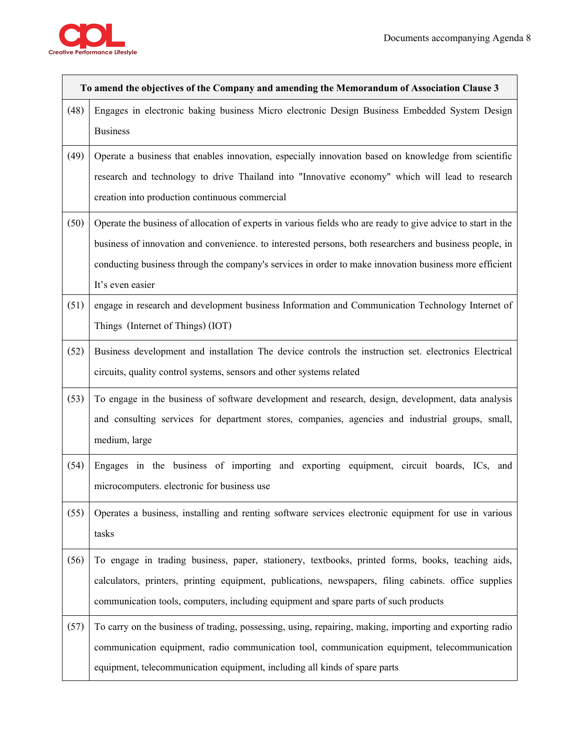

 $\Gamma$ 

| To amend the objectives of the Company and amending the Memorandum of Association Clause 3 |                                                                                                                                                                                                                                                                                                                                                       |
|--------------------------------------------------------------------------------------------|-------------------------------------------------------------------------------------------------------------------------------------------------------------------------------------------------------------------------------------------------------------------------------------------------------------------------------------------------------|
| (48)                                                                                       | Engages in electronic baking business Micro electronic Design Business Embedded System Design<br><b>Business</b>                                                                                                                                                                                                                                      |
| (49)                                                                                       | Operate a business that enables innovation, especially innovation based on knowledge from scientific<br>research and technology to drive Thailand into "Innovative economy" which will lead to research<br>creation into production continuous commercial                                                                                             |
| (50)                                                                                       | Operate the business of allocation of experts in various fields who are ready to give advice to start in the<br>business of innovation and convenience. to interested persons, both researchers and business people, in<br>conducting business through the company's services in order to make innovation business more efficient<br>It's even easier |
| (51)                                                                                       | engage in research and development business Information and Communication Technology Internet of<br>Things (Internet of Things) (IOT)                                                                                                                                                                                                                 |
| (52)                                                                                       | Business development and installation The device controls the instruction set. electronics Electrical<br>circuits, quality control systems, sensors and other systems related                                                                                                                                                                         |
| (53)                                                                                       | To engage in the business of software development and research, design, development, data analysis<br>and consulting services for department stores, companies, agencies and industrial groups, small,<br>medium, large                                                                                                                               |
| (54)                                                                                       | Engages in the business of importing and exporting equipment, circuit boards, ICs, and<br>microcomputers. electronic for business use                                                                                                                                                                                                                 |
| (55)                                                                                       | Operates a business, installing and renting software services electronic equipment for use in various<br>tasks                                                                                                                                                                                                                                        |
| (56)                                                                                       | To engage in trading business, paper, stationery, textbooks, printed forms, books, teaching aids,<br>calculators, printers, printing equipment, publications, newspapers, filing cabinets. office supplies<br>communication tools, computers, including equipment and spare parts of such products                                                    |
| (57)                                                                                       | To carry on the business of trading, possessing, using, repairing, making, importing and exporting radio<br>communication equipment, radio communication tool, communication equipment, telecommunication<br>equipment, telecommunication equipment, including all kinds of spare parts                                                               |